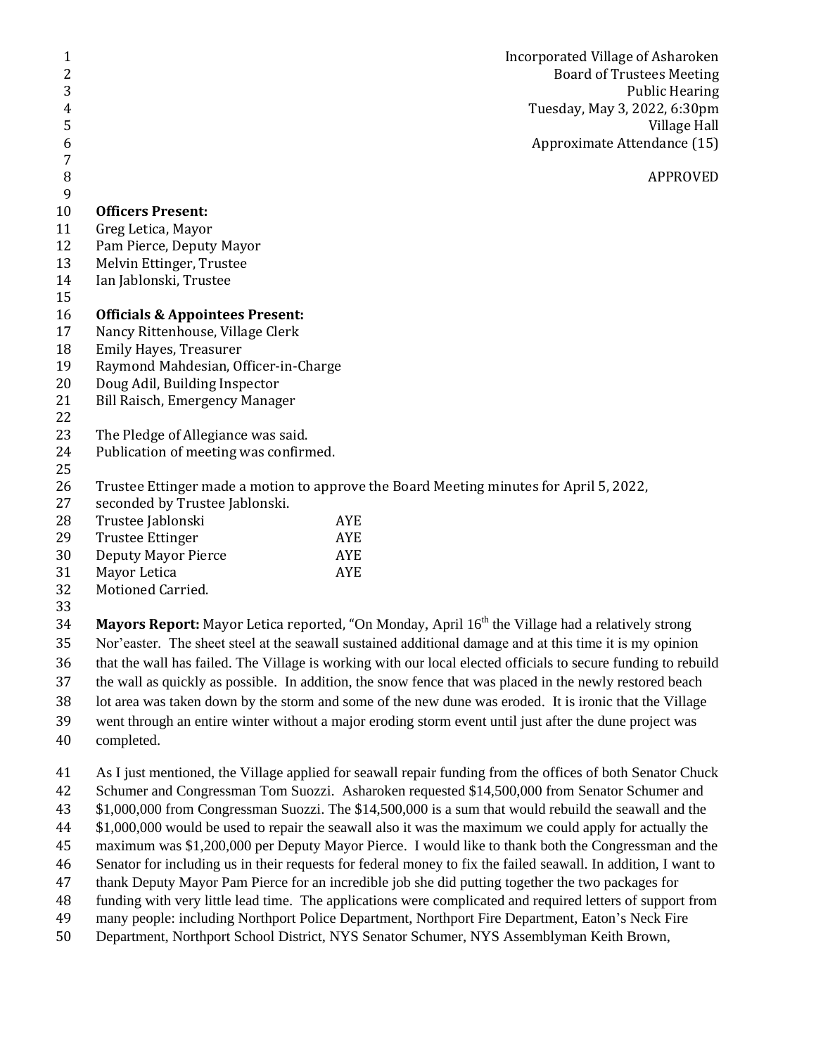Incorporated Village of Asharoken Board of Trustees Meeting Public Hearing 4 Tuesday, May 3, 2022, 6:30pm 5 Village Hall Approximate Attendance (15) 8 APPROVED **Officers Present:** Greg Letica, Mayor Pam Pierce, Deputy Mayor Melvin Ettinger, Trustee Ian Jablonski, Trustee **Officials & Appointees Present:** Nancy Rittenhouse, Village Clerk Emily Hayes, Treasurer Raymond Mahdesian, Officer-in-Charge Doug Adil, Building Inspector Bill Raisch, Emergency Manager The Pledge of Allegiance was said. Publication of meeting was confirmed. Trustee Ettinger made a motion to approve the Board Meeting minutes for April 5, 2022, seconded by Trustee Jablonski. Trustee Jablonski AYE 29 Trustee Ettinger AYE Deputy Mayor Pierce AYE Mayor Letica AYE Motioned Carried. **Mayors Report:** Mayor Letica reported, "On Monday, April 16<sup>th</sup> the Village had a relatively strong Nor'easter. The sheet steel at the seawall sustained additional damage and at this time it is my opinion that the wall has failed. The Village is working with our local elected officials to secure funding to rebuild the wall as quickly as possible. In addition, the snow fence that was placed in the newly restored beach lot area was taken down by the storm and some of the new dune was eroded. It is ironic that the Village went through an entire winter without a major eroding storm event until just after the dune project was completed.

As I just mentioned, the Village applied for seawall repair funding from the offices of both Senator Chuck

Schumer and Congressman Tom Suozzi. Asharoken requested \$14,500,000 from Senator Schumer and

\$1,000,000 from Congressman Suozzi. The \$14,500,000 is a sum that would rebuild the seawall and the

\$1,000,000 would be used to repair the seawall also it was the maximum we could apply for actually the

maximum was \$1,200,000 per Deputy Mayor Pierce. I would like to thank both the Congressman and the

 Senator for including us in their requests for federal money to fix the failed seawall. In addition, I want to thank Deputy Mayor Pam Pierce for an incredible job she did putting together the two packages for

funding with very little lead time. The applications were complicated and required letters of support from

many people: including Northport Police Department, Northport Fire Department, Eaton's Neck Fire

Department, Northport School District, NYS Senator Schumer, NYS Assemblyman Keith Brown,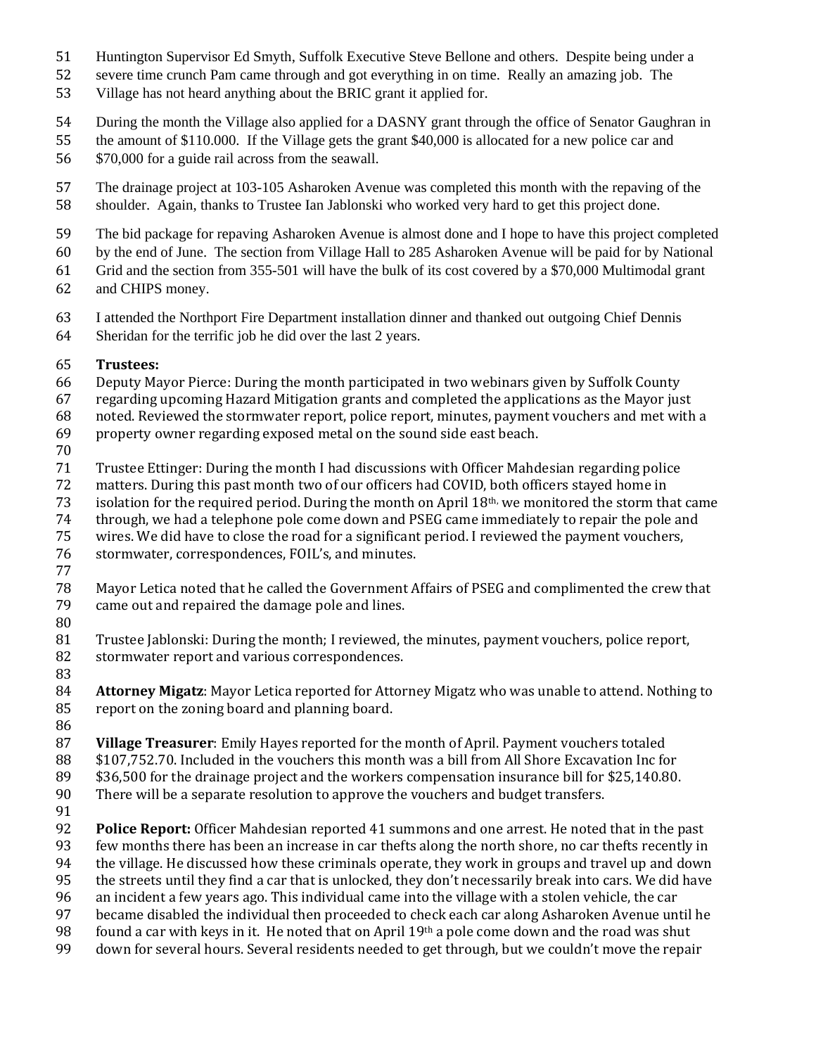- Huntington Supervisor Ed Smyth, Suffolk Executive Steve Bellone and others. Despite being under a
- severe time crunch Pam came through and got everything in on time. Really an amazing job. The
- Village has not heard anything about the BRIC grant it applied for.
- During the month the Village also applied for a DASNY grant through the office of Senator Gaughran in
- the amount of \$110.000. If the Village gets the grant \$40,000 is allocated for a new police car and
- \$70,000 for a guide rail across from the seawall.
- The drainage project at 103-105 Asharoken Avenue was completed this month with the repaving of the shoulder. Again, thanks to Trustee Ian Jablonski who worked very hard to get this project done.
- The bid package for repaving Asharoken Avenue is almost done and I hope to have this project completed
- by the end of June. The section from Village Hall to 285 Asharoken Avenue will be paid for by National
- Grid and the section from 355-501 will have the bulk of its cost covered by a \$70,000 Multimodal grant
- and CHIPS money.
- I attended the Northport Fire Department installation dinner and thanked out outgoing Chief Dennis
- Sheridan for the terrific job he did over the last 2 years.

## **Trustees:**

- Deputy Mayor Pierce: During the month participated in two webinars given by Suffolk County
- regarding upcoming Hazard Mitigation grants and completed the applications as the Mayor just
- noted. Reviewed the stormwater report, police report, minutes, payment vouchers and met with a
- property owner regarding exposed metal on the sound side east beach.
- 
- Trustee Ettinger: During the month I had discussions with Officer Mahdesian regarding police
- matters. During this past month two of our officers had COVID, both officers stayed home in
- isolation for the required period. During the month on April 18th, we monitored the storm that came
- through, we had a telephone pole come down and PSEG came immediately to repair the pole and
- wires. We did have to close the road for a significant period. I reviewed the payment vouchers,
- stormwater, correspondences, FOIL's, and minutes.
- 
- Mayor Letica noted that he called the Government Affairs of PSEG and complimented the crew that came out and repaired the damage pole and lines.
- 
- Trustee Jablonski: During the month; I reviewed, the minutes, payment vouchers, police report, stormwater report and various correspondences.
- 
- **Attorney Migatz**: Mayor Letica reported for Attorney Migatz who was unable to attend. Nothing to report on the zoning board and planning board.
- 
- **Village Treasurer**: Emily Hayes reported for the month of April. Payment vouchers totaled
- \$107,752.70. Included in the vouchers this month was a bill from All Shore Excavation Inc for
- \$36,500 for the drainage project and the workers compensation insurance bill for \$25,140.80.
- There will be a separate resolution to approve the vouchers and budget transfers.
- 
- **Police Report:** Officer Mahdesian reported 41 summons and one arrest. He noted that in the past few months there has been an increase in car thefts along the north shore, no car thefts recently in the village. He discussed how these criminals operate, they work in groups and travel up and down
- the streets until they find a car that is unlocked, they don't necessarily break into cars. We did have
- an incident a few years ago. This individual came into the village with a stolen vehicle, the car
- became disabled the individual then proceeded to check each car along Asharoken Avenue until he
- 98 found a car with keys in it. He noted that on April  $19<sup>th</sup>$  a pole come down and the road was shut
- down for several hours. Several residents needed to get through, but we couldn't move the repair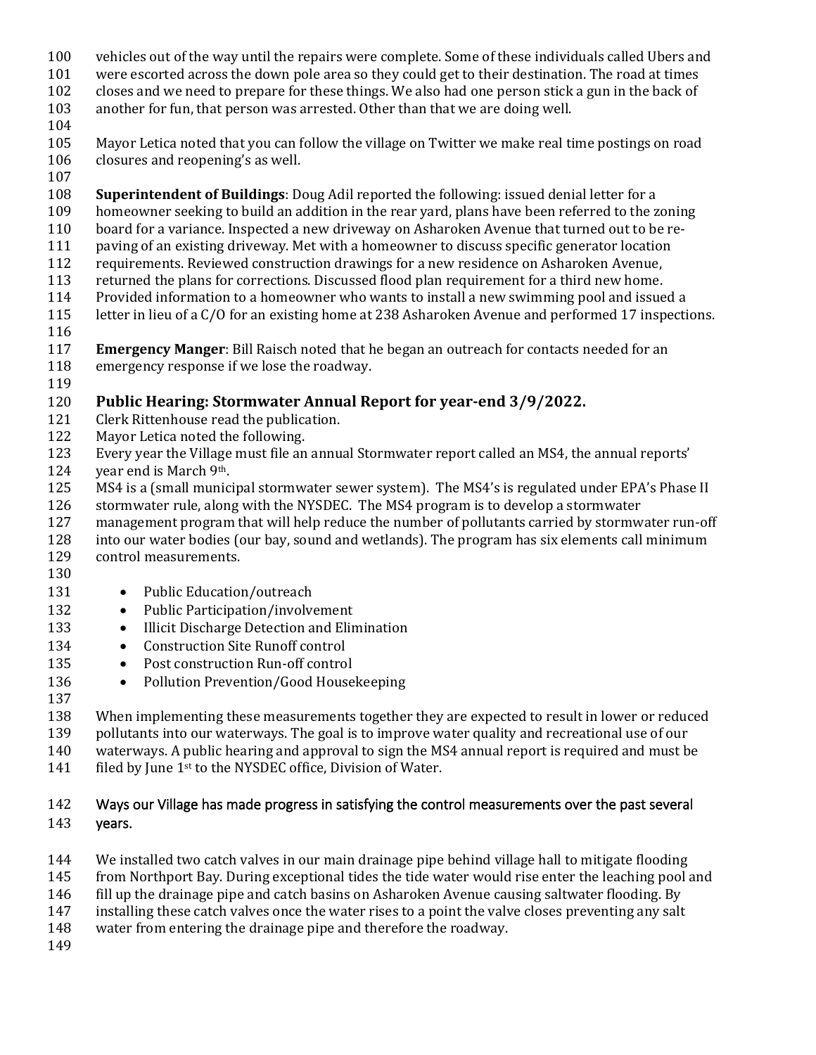- vehicles out of the way until the repairs were complete. Some of these individuals called Ubers and
- were escorted across the down pole area so they could get to their destination. The road at times
- closes and we need to prepare for these things. We also had one person stick a gun in the back of
- another for fun, that person was arrested. Other than that we are doing well.
- 
- Mayor Letica noted that you can follow the village on Twitter we make real time postings on road closures and reopening's as well.
- 

**Superintendent of Buildings**: Doug Adil reported the following: issued denial letter for a

- homeowner seeking to build an addition in the rear yard, plans have been referred to the zoning
- board for a variance. Inspected a new driveway on Asharoken Avenue that turned out to be re-
- paving of an existing driveway. Met with a homeowner to discuss specific generator location
- requirements. Reviewed construction drawings for a new residence on Asharoken Avenue, returned the plans for corrections. Discussed flood plan requirement for a third new home.
- Provided information to a homeowner who wants to install a new swimming pool and issued a
- letter in lieu of a C/O for an existing home at 238 Asharoken Avenue and performed 17 inspections.
- 
- **Emergency Manger**: Bill Raisch noted that he began an outreach for contacts needed for an
- emergency response if we lose the roadway.
- 

## **Public Hearing: Stormwater Annual Report for year-end 3/9/2022.**

- Clerk Rittenhouse read the publication.
- Mayor Letica noted the following.
- Every year the Village must file an annual Stormwater report called an MS4, the annual reports'
- 124 vear end is March 9th.
	- MS4 is a (small municipal stormwater sewer system). The MS4's is regulated under EPA's Phase II
	- stormwater rule, along with the NYSDEC. The MS4 program is to develop a stormwater
	- management program that will help reduce the number of pollutants carried by stormwater run-off
	- into our water bodies (our bay, sound and wetlands). The program has six elements call minimum control measurements.
	-
	- 131 Public Education/outreach
	- 132 Public Participation/involvement
	- 133 Illicit Discharge Detection and Elimination
	- 134 Construction Site Runoff control
	- 135 Post construction Run-off control
	- 136 Pollution Prevention/Good Housekeeping
	-
	- When implementing these measurements together they are expected to result in lower or reduced
	- pollutants into our waterways. The goal is to improve water quality and recreational use of our
	- waterways. A public hearing and approval to sign the MS4 annual report is required and must be
	- 141 filed by June 1<sup>st</sup> to the NYSDEC office, Division of Water.

## Ways our Village has made progress in satisfying the control measurements over the past several years.

- We installed two catch valves in our main drainage pipe behind village hall to mitigate flooding
- from Northport Bay. During exceptional tides the tide water would rise enter the leaching pool and
- fill up the drainage pipe and catch basins on Asharoken Avenue causing saltwater flooding. By
- installing these catch valves once the water rises to a point the valve closes preventing any salt
- water from entering the drainage pipe and therefore the roadway.
-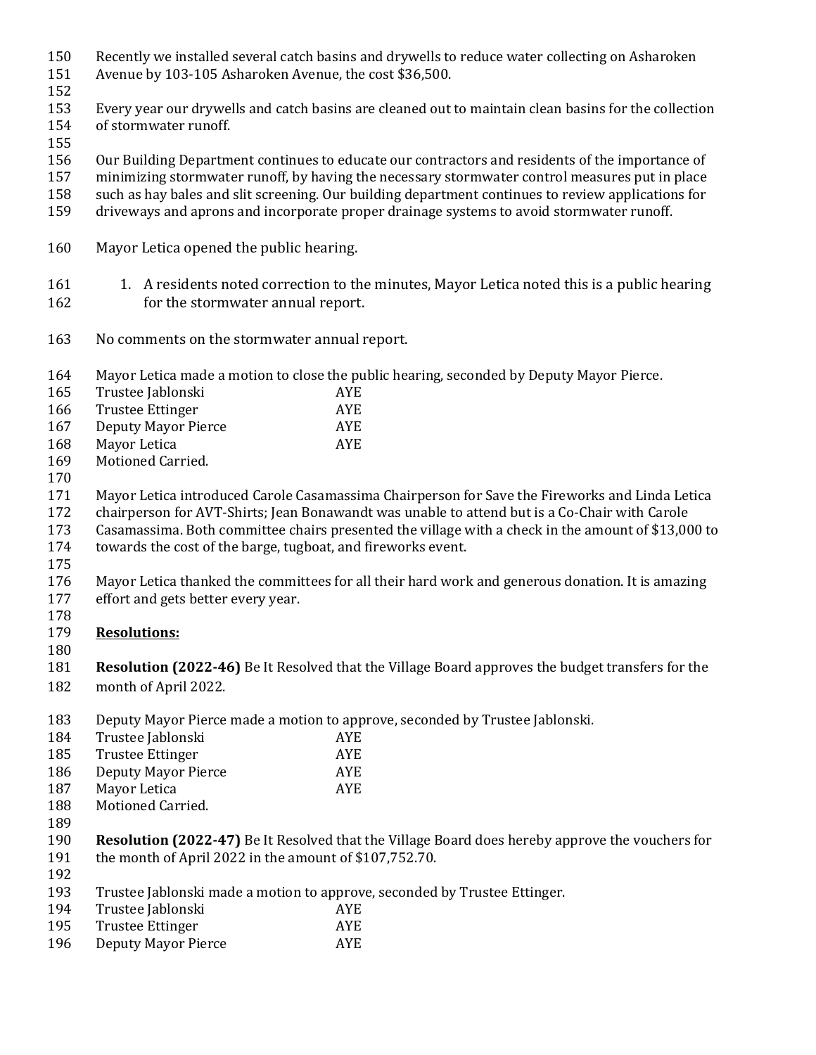- Recently we installed several catch basins and drywells to reduce water collecting on Asharoken
- Avenue by 103-105 Asharoken Avenue, the cost \$36,500.
- 
- Every year our drywells and catch basins are cleaned out to maintain clean basins for the collection of stormwater runoff.
- 
- Our Building Department continues to educate our contractors and residents of the importance of
- minimizing stormwater runoff, by having the necessary stormwater control measures put in place
- such as hay bales and slit screening. Our building department continues to review applications for
- driveways and aprons and incorporate proper drainage systems to avoid stormwater runoff.
- Mayor Letica opened the public hearing.
- 161 1. A residents noted correction to the minutes, Mayor Letica noted this is a public hearing for the stormwater annual report.
- No comments on the stormwater annual report.
- Mayor Letica made a motion to close the public hearing, seconded by Deputy Mayor Pierce.
- Trustee Jablonski AYE
- 166 Trustee Ettinger AYE
- Deputy Mayor Pierce AYE Mayor Letica AYE
- Motioned Carried.
- 
- Mayor Letica introduced Carole Casamassima Chairperson for Save the Fireworks and Linda Letica
- chairperson for AVT-Shirts; Jean Bonawandt was unable to attend but is a Co-Chair with Carole
- Casamassima. Both committee chairs presented the village with a check in the amount of \$13,000 to
- towards the cost of the barge, tugboat, and fireworks event.
- 
- Mayor Letica thanked the committees for all their hard work and generous donation. It is amazing effort and gets better every year.
- **Resolutions:**
- 
- **Resolution (2022-46)** Be It Resolved that the Village Board approves the budget transfers for the month of April 2022.
- Deputy Mayor Pierce made a motion to approve, seconded by Trustee Jablonski.
- Trustee Jablonski AYE Trustee Ettinger AYE Deputy Mayor Pierce AYE
- Mayor Letica AYE
- Motioned Carried.
- 
- **Resolution (2022-47)** Be It Resolved that the Village Board does hereby approve the vouchers for 191 the month of April 2022 in the amount of \$107,752.70.
- Trustee Jablonski made a motion to approve, seconded by Trustee Ettinger.
- Trustee Jablonski AYE
- Trustee Ettinger AYE
- Deputy Mayor Pierce AYE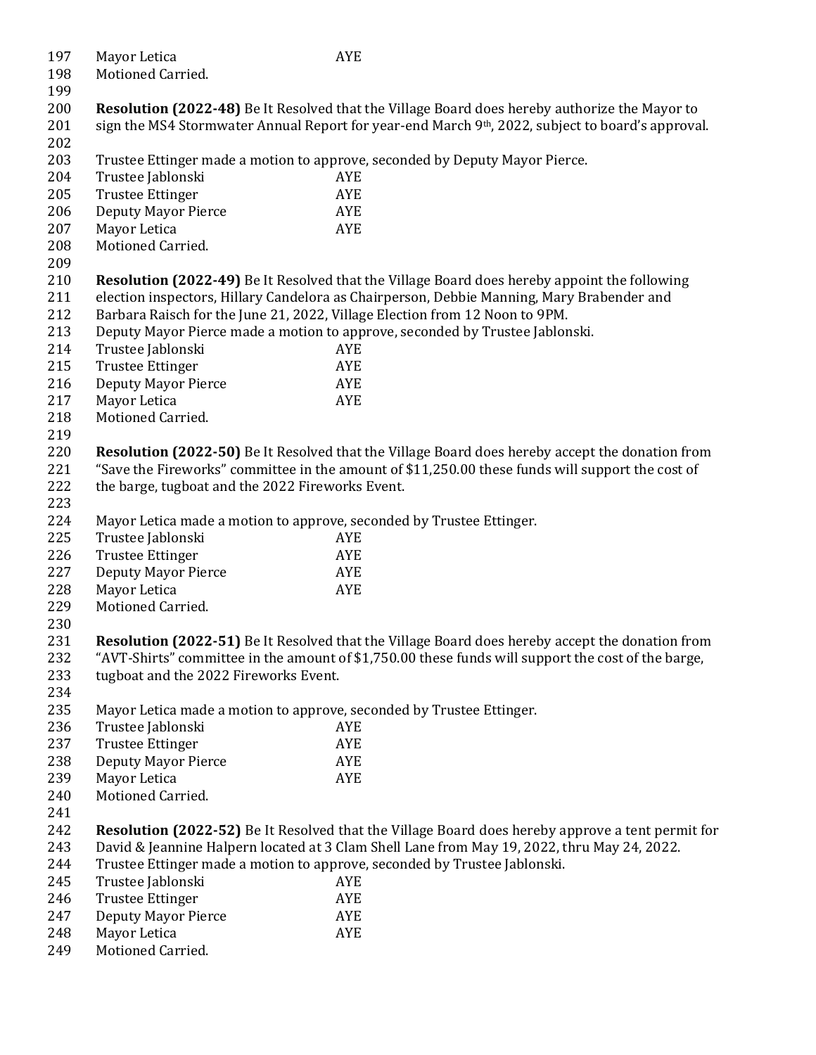Mayor Letica AYE

Motioned Carried.

 **Resolution (2022-48)** Be It Resolved that the Village Board does hereby authorize the Mayor to 201 sign the MS4 Stormwater Annual Report for year-end March 9<sup>th</sup>, 2022, subject to board's approval.

Trustee Ettinger made a motion to approve, seconded by Deputy Mayor Pierce.

- Trustee Jablonski AYE
- Trustee Ettinger AYE
- Deputy Mayor Pierce AYE
- Mayor Letica AYE
- Motioned Carried.
- 

**Resolution (2022-49)** Be It Resolved that the Village Board does hereby appoint the following

- election inspectors, Hillary Candelora as Chairperson, Debbie Manning, Mary Brabender and
- Barbara Raisch for the June 21, 2022, Village Election from 12 Noon to 9PM.
- Deputy Mayor Pierce made a motion to approve, seconded by Trustee Jablonski.
- Trustee Jablonski AYE
- 215 Trustee Ettinger AYE
- Deputy Mayor Pierce AYE
- Mayor Letica AYE
- Motioned Carried.

 **Resolution (2022-50)** Be It Resolved that the Village Board does hereby accept the donation from "Save the Fireworks" committee in the amount of \$11,250.00 these funds will support the cost of

- the barge, tugboat and the 2022 Fireworks Event.
- Mayor Letica made a motion to approve, seconded by Trustee Ettinger.
- Trustee Jablonski AYE
- Trustee Ettinger AYE
- Deputy Mayor Pierce AYE Mayor Letica AYE
- Motioned Carried.
- 

 **Resolution (2022-51)** Be It Resolved that the Village Board does hereby accept the donation from "AVT-Shirts" committee in the amount of \$1,750.00 these funds will support the cost of the barge, tugboat and the 2022 Fireworks Event.

- 
- Mayor Letica made a motion to approve, seconded by Trustee Ettinger.
- Trustee Jablonski AYE
- 237 Trustee Ettinger AYE
- Deputy Mayor Pierce AYE 239 Mayor Letica AYE
- 
- Motioned Carried.
- 
- **Resolution (2022-52)** Be It Resolved that the Village Board does hereby approve a tent permit for David & Jeannine Halpern located at 3 Clam Shell Lane from May 19, 2022, thru May 24, 2022.
- Trustee Ettinger made a motion to approve, seconded by Trustee Jablonski.
- Trustee Jablonski AYE
- Trustee Ettinger AYE
- Deputy Mayor Pierce AYE
- Mayor Letica AYE
- Motioned Carried.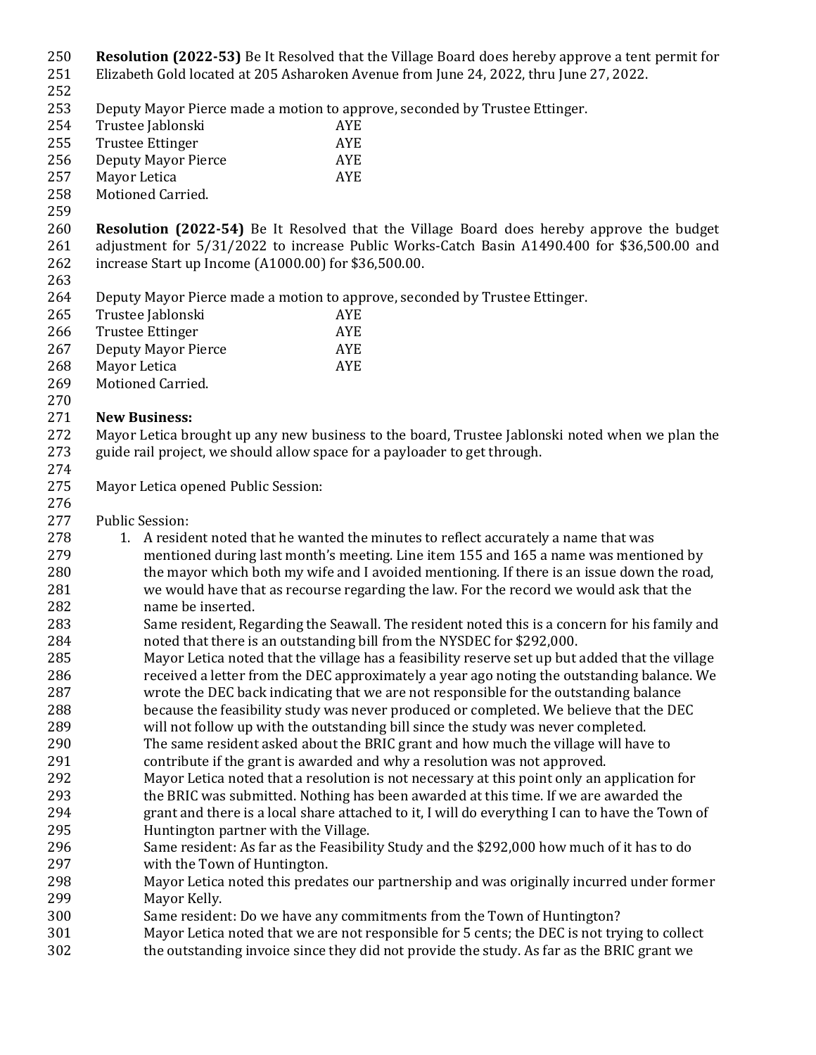**Resolution (2022-53)** Be It Resolved that the Village Board does hereby approve a tent permit for Elizabeth Gold located at 205 Asharoken Avenue from June 24, 2022, thru June 27, 2022. Deputy Mayor Pierce made a motion to approve, seconded by Trustee Ettinger. Trustee Jablonski AYE Trustee Ettinger AYE Deputy Mayor Pierce AYE 257 Mayor Letica AYE Motioned Carried. **Resolution (2022-54)** Be It Resolved that the Village Board does hereby approve the budget adjustment for 5/31/2022 to increase Public Works-Catch Basin A1490.400 for \$36,500.00 and increase Start up Income (A1000.00) for \$36,500.00. Deputy Mayor Pierce made a motion to approve, seconded by Trustee Ettinger. Trustee Jablonski AYE Trustee Ettinger AYE Deputy Mayor Pierce AYE 268 Mayor Letica AYE Motioned Carried. **New Business:** Mayor Letica brought up any new business to the board, Trustee Jablonski noted when we plan the guide rail project, we should allow space for a payloader to get through. Mayor Letica opened Public Session: Public Session: 1. A resident noted that he wanted the minutes to reflect accurately a name that was mentioned during last month's meeting. Line item 155 and 165 a name was mentioned by 280 the mayor which both my wife and I avoided mentioning. If there is an issue down the road, we would have that as recourse regarding the law. For the record we would ask that the name be inserted. Same resident, Regarding the Seawall. The resident noted this is a concern for his family and noted that there is an outstanding bill from the NYSDEC for \$292,000. Mayor Letica noted that the village has a feasibility reserve set up but added that the village received a letter from the DEC approximately a year ago noting the outstanding balance. We wrote the DEC back indicating that we are not responsible for the outstanding balance because the feasibility study was never produced or completed. We believe that the DEC will not follow up with the outstanding bill since the study was never completed. The same resident asked about the BRIC grant and how much the village will have to contribute if the grant is awarded and why a resolution was not approved. Mayor Letica noted that a resolution is not necessary at this point only an application for the BRIC was submitted. Nothing has been awarded at this time. If we are awarded the grant and there is a local share attached to it, I will do everything I can to have the Town of Huntington partner with the Village. Same resident: As far as the Feasibility Study and the \$292,000 how much of it has to do with the Town of Huntington. Mayor Letica noted this predates our partnership and was originally incurred under former Mayor Kelly. Same resident: Do we have any commitments from the Town of Huntington? Mayor Letica noted that we are not responsible for 5 cents; the DEC is not trying to collect the outstanding invoice since they did not provide the study. As far as the BRIC grant we